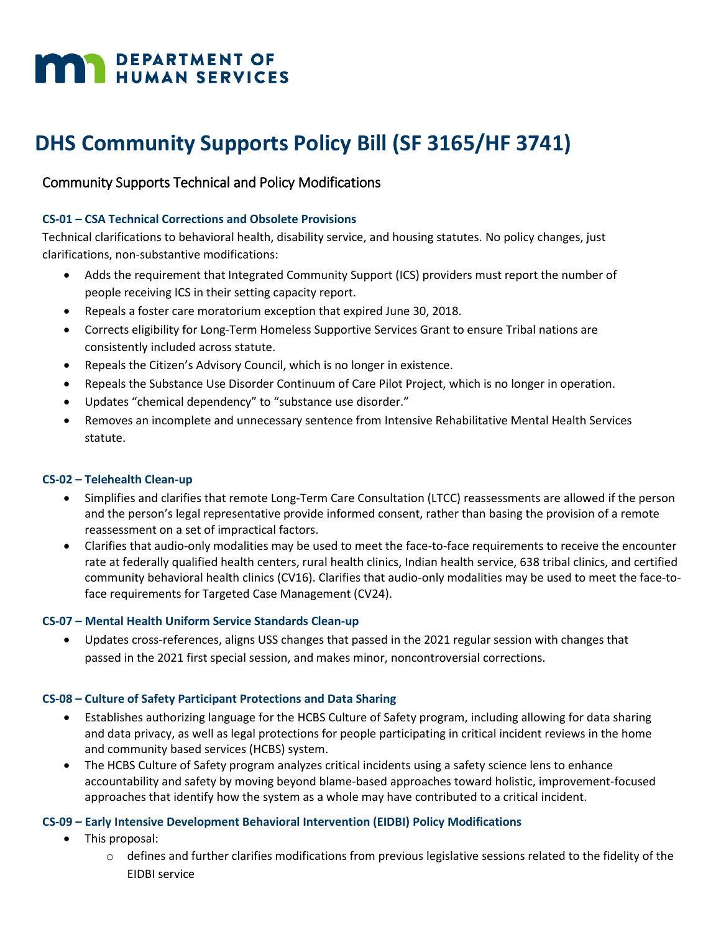# **MAY DEPARTMENT OF HUMAN SERVICES**

## **DHS Community Supports Policy Bill (SF 3165/HF 3741)**

### Community Supports Technical and Policy Modifications

#### **CS-01 – CSA Technical Corrections and Obsolete Provisions**

Technical clarifications to behavioral health, disability service, and housing statutes. No policy changes, just clarifications, non-substantive modifications:

- Adds the requirement that Integrated Community Support (ICS) providers must report the number of people receiving ICS in their setting capacity report.
- Repeals a foster care moratorium exception that expired June 30, 2018.
- Corrects eligibility for Long-Term Homeless Supportive Services Grant to ensure Tribal nations are consistently included across statute.
- Repeals the Citizen's Advisory Council, which is no longer in existence.
- Repeals the Substance Use Disorder Continuum of Care Pilot Project, which is no longer in operation.
- Updates "chemical dependency" to "substance use disorder."
- Removes an incomplete and unnecessary sentence from Intensive Rehabilitative Mental Health Services statute.

#### **CS-02 – Telehealth Clean-up**

- Simplifies and clarifies that remote Long-Term Care Consultation (LTCC) reassessments are allowed if the person and the person's legal representative provide informed consent, rather than basing the provision of a remote reassessment on a set of impractical factors.
- Clarifies that audio-only modalities may be used to meet the face-to-face requirements to receive the encounter rate at federally qualified health centers, rural health clinics, Indian health service, 638 tribal clinics, and certified community behavioral health clinics (CV16). Clarifies that audio-only modalities may be used to meet the face-toface requirements for Targeted Case Management (CV24).

#### **CS-07 – Mental Health Uniform Service Standards Clean-up**

 Updates cross-references, aligns USS changes that passed in the 2021 regular session with changes that passed in the 2021 first special session, and makes minor, noncontroversial corrections.

#### **CS-08 – Culture of Safety Participant Protections and Data Sharing**

- Establishes authorizing language for the HCBS Culture of Safety program, including allowing for data sharing and data privacy, as well as legal protections for people participating in critical incident reviews in the home and community based services (HCBS) system.
- The HCBS Culture of Safety program analyzes critical incidents using a safety science lens to enhance accountability and safety by moving beyond blame-based approaches toward holistic, improvement-focused approaches that identify how the system as a whole may have contributed to a critical incident.

#### **CS-09 – Early Intensive Development Behavioral Intervention (EIDBI) Policy Modifications**

- This proposal:
	- $\circ$  defines and further clarifies modifications from previous legislative sessions related to the fidelity of the EIDBI service